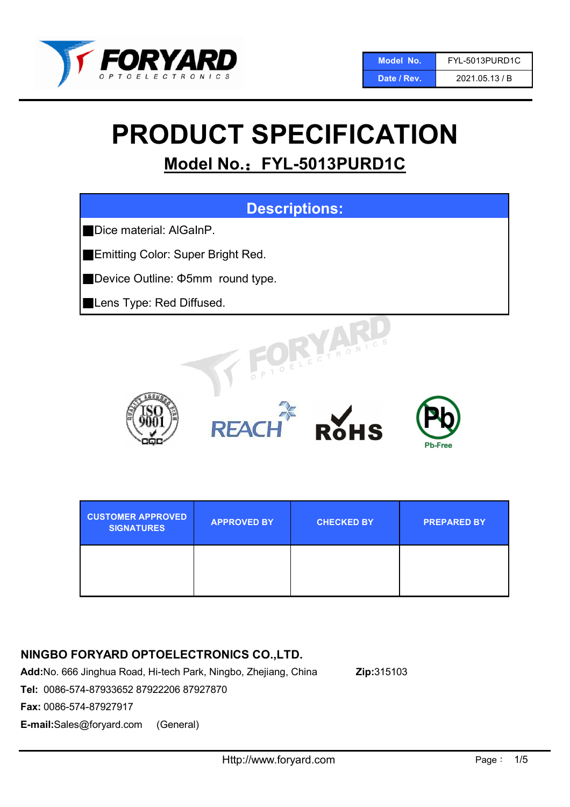

# PRODUCT SPECIFICATION

## Model No.: FYL-5013PURD1C



| <b>CUSTOMER APPROVED</b><br><b>SIGNATURES</b> | <b>APPROVED BY</b> | <b>CHECKED BY</b> | <b>PREPARED BY</b> |
|-----------------------------------------------|--------------------|-------------------|--------------------|
|                                               |                    |                   |                    |

## NINGBO FORYARD OPTOELECTRONICS CO.,LTD.

Add:No. 666 Jinghua Road, Hi-tech Park, Ningbo, Zhejiang, China Zip:315103

Tel: 0086-574-87933652 87922206 87927870

Fax: 0086-574-87927917

E-mail:Sales@foryard.com (General)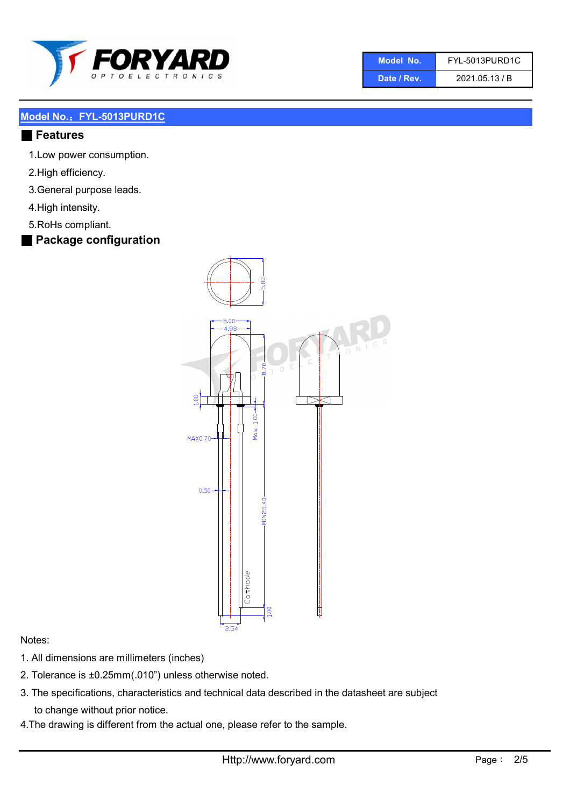

| Model No.   | FYL-5013PURD1C |  |  |
|-------------|----------------|--|--|
| Date / Rev. | 2021.05.13 / B |  |  |

#### Model No.: FYL-5013PURD1C

#### ■ Features

- 1.Low power consumption.
- 2.High efficiency.
- 3.General purpose leads.
- 4.High intensity.
- 5.RoHs compliant.
- Package configuration



#### Notes:

- 1. All dimensions are millimeters (inches)
- 2. Tolerance is ±0.25mm(.010") unless otherwise noted.
- 3. The specifications, characteristics and technical data described in the datasheet are subject to change without prior notice.
- 4.The drawing is different from the actual one, please refer to the sample.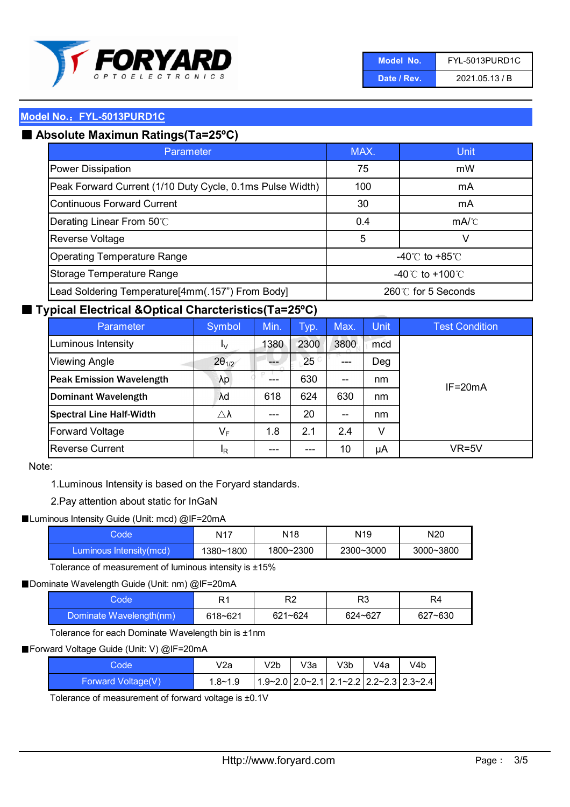

| Model No.   | <b>FYL-5013PURD1C</b> |  |  |
|-------------|-----------------------|--|--|
| Date / Rev. | 2021.05.13 / B        |  |  |

#### Model No.: FYL-5013PURD1C

## ■ Absolute Maximun Ratings(Ta=25°C)

| Parameter                                                 | MAX.               | Unit                                 |
|-----------------------------------------------------------|--------------------|--------------------------------------|
| Power Dissipation                                         | 75                 | mW                                   |
| Peak Forward Current (1/10 Duty Cycle, 0.1ms Pulse Width) | 100                | mA                                   |
| Continuous Forward Current                                | 30                 | mA                                   |
| Derating Linear From 50°C                                 | 0.4                | $mA$ <sup><math>c</math></sup>       |
| <b>Reverse Voltage</b>                                    | 5                  | v                                    |
| <b>Operating Temperature Range</b>                        |                    | -40 $^{\circ}$ C to +85 $^{\circ}$ C |
| Storage Temperature Range                                 | -40°C to +100°C    |                                      |
| Lead Soldering Temperature[4mm(.157") From Body]          | 260℃ for 5 Seconds |                                      |

#### ■ Typical Electrical &Optical Charcteristics(Ta=25°C)

| Parameter                       | Symbol                  | Min. | Typ.       | Max.                                  | <b>Unit</b> | <b>Test Condition</b> |
|---------------------------------|-------------------------|------|------------|---------------------------------------|-------------|-----------------------|
| Luminous Intensity              | I <sub>V</sub>          | 1380 | 2300       | 3800                                  | mcd         |                       |
| <b>Viewing Angle</b>            | $2\theta_{1/2}$         |      | $25^\circ$ | ---                                   | Deg         |                       |
| <b>Peak Emission Wavelength</b> | λp                      | ---  | 630        | $\hspace{0.05cm}$ – $\hspace{0.05cm}$ | nm          | $IF = 20mA$           |
| <b>Dominant Wavelength</b>      | λd                      | 618  | 624        | 630                                   | nm          |                       |
| <b>Spectral Line Half-Width</b> | $\triangle \lambda$     | ---  | 20         | $- -$                                 | nm          |                       |
| <b>Forward Voltage</b>          | $\mathsf{V}_\mathsf{F}$ | 1.8  | 2.1        | 2.4                                   | V           |                       |
| <b>Reverse Current</b>          | <sup>I</sup> R          | ---  | ---        | 10                                    | μA          | VR=5V                 |

#### Note:

1.Luminous Intensity is based on the Foryard standards.

#### 2.Pay attention about static for InGaN

#### ■Luminous Intensity Guide (Unit: mcd) @IF=20mA

| Code                    | N <sub>17</sub> | N18       | N <sub>19</sub> | N <sub>20</sub> |
|-------------------------|-----------------|-----------|-----------------|-----------------|
| Luminous Intensity(mcd) | 1380~1800       | 1800~2300 | 2300~3000       | 3000~3800       |

Tolerance of measurement of luminous intensity is ±15%

#### ■ Dominate Wavelength Guide (Unit: nm) @IF=20mA

| Code                    | R1      | R <sub>2</sub> | R3      | R4      |
|-------------------------|---------|----------------|---------|---------|
| Dominate Wavelength(nm) | 618~621 | $621 - 624$    | 624~627 | 627~630 |

Tolerance for each Dominate Wavelength bin is ±1nm

#### ■ Forward Voltage Guide (Unit: V) @IF=20mA

| Codel              | V2a     | V2b | V3a | V3b | V4a | V4b                                                                                              |
|--------------------|---------|-----|-----|-----|-----|--------------------------------------------------------------------------------------------------|
| Forward Voltage(V) | 1.8~1.9 |     |     |     |     | $\left  1.9 - 2.0 \right  2.0 - 2.1 \left  2.1 - 2.2 \right  2.2 - 2.3 \left  2.3 - 2.4 \right $ |

Tolerance of measurement of forward voltage is ±0.1V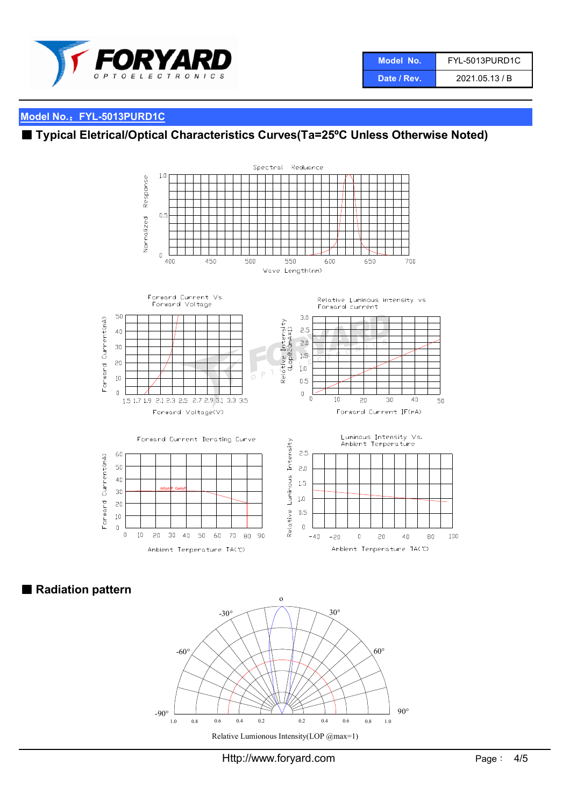

## Model No.: FYL-5013PURD1C

## ■ Typical Eletrical/Optical Characteristics Curves(Ta=25°C Unless Otherwise Noted)



■ Radiation pattern



Http://www.foryard.com Page: 4/5